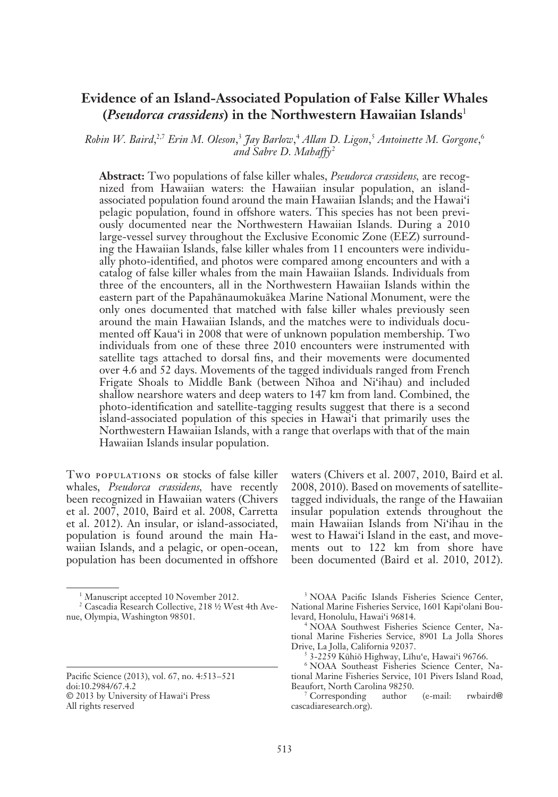# **Evidence of an Island-Associated Population of False Killer Whales (***Pseudorca crassidens***) in the Northwestern Hawaiian Islands**<sup>1</sup>

*Robin W. Baird*, 2,7 *Erin M. Oleson*, 3  *Jay Barlow*, 4  *Allan D. Ligon*, 5  *Antoinette M. Gorgone*, 6 *and Sabre D. Mahaffy*<sup>2</sup>

**Abstract:** Two populations of false killer whales, *Pseudorca crassidens,* are recognized from Hawaiian waters: the Hawaiian insular population, an islandassociated population found around the main Hawaiian Islands; and the Hawai'i pelagic population, found in offshore waters. This species has not been previously documented near the Northwestern Hawaiian Islands. During a 2010 large-vessel survey throughout the Exclusive Economic Zone (EEZ) surrounding the Hawaiian Islands, false killer whales from 11 encounters were individually photo-identified, and photos were compared among encounters and with a catalog of false killer whales from the main Hawaiian Islands. Individuals from three of the encounters, all in the Northwestern Hawaiian Islands within the eastern part of the Papahänaumokuäkea Marine National Monument, were the only ones documented that matched with false killer whales previously seen around the main Hawaiian Islands, and the matches were to individuals documented off Kaua'i in 2008 that were of unknown population membership. Two individuals from one of these three 2010 encounters were instrumented with satellite tags attached to dorsal fins, and their movements were documented over 4.6 and 52 days. Movements of the tagged individuals ranged from French Frigate Shoals to Middle Bank (between Nïhoa and Ni'ihau) and included shallow nearshore waters and deep waters to 147 km from land. Combined, the photo-identification and satellite-tagging results suggest that there is a second island-associated population of this species in Hawai'i that primarily uses the Northwestern Hawaiian Islands, with a range that overlaps with that of the main Hawaiian Islands insular population.

Two populations or stocks of false killer whales, *Pseudorca crassidens,* have recently been recognized in Hawaiian waters (Chivers et al. 2007, 2010, Baird et al. 2008, Carretta et al. 2012). An insular, or island-associated, population is found around the main Hawaiian Islands, and a pelagic, or open-ocean, population has been documented in offshore

waters (Chivers et al. 2007, 2010, Baird et al. 2008, 2010). Based on movements of satellitetagged individuals, the range of the Hawaiian insular population extends throughout the main Hawaiian Islands from Ni'ihau in the west to Hawai'i Island in the east, and movements out to 122 km from shore have been documented (Baird et al. 2010, 2012).

3 NOAA Pacific Islands Fisheries Science Center, National Marine Fisheries Service, 1601 Kapi'olani Boulevard, Honolulu, Hawai'i 96814.

4 NOAA Southwest Fisheries Science Center, National Marine Fisheries Service, 8901 La Jolla Shores Drive, La Jolla, California 92037.

5 3-2259 Kühiö Highway, Lïhu'e, Hawai'i 96766.

7 Corresponding author (e-mail: rwbaird@ cascadiaresearch.org).

<sup>&</sup>lt;sup>1</sup> Manuscript accepted 10 November 2012.

<sup>2</sup> Cascadia Research Collective, 218 ½ West 4th Avenue, Olympia, Washington 98501.

Pacific Science (2013), vol. 67, no. 4:513–521 doi:10.2984/67.4.2 © 2013 by University of Hawai'i Press All rights reserved

<sup>6</sup> NOAA Southeast Fisheries Science Center, National Marine Fisheries Service, 101 Pivers Island Road, Beaufort, North Carolina 98250.<br><sup>7</sup> Corresponding author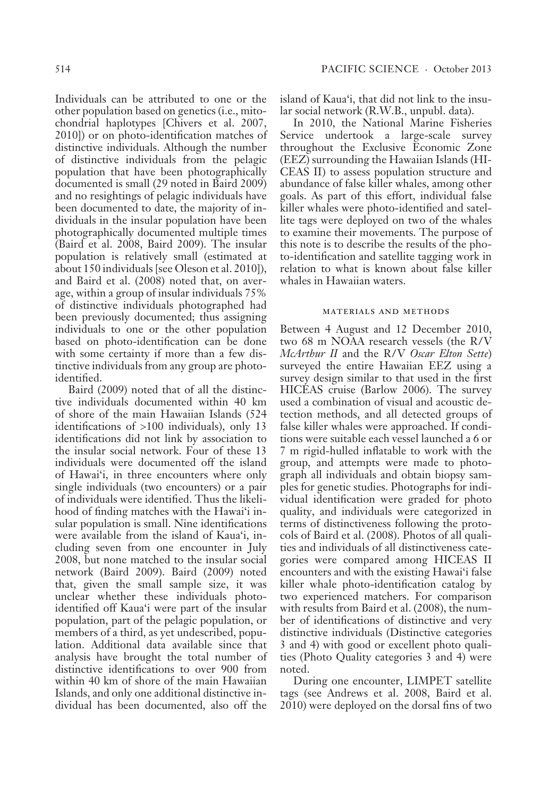Individuals can be attributed to one or the other population based on genetics (i.e., mitochondrial haplotypes [Chivers et al. 2007, 2010]) or on photo-identification matches of distinctive individuals. Although the number of distinctive individuals from the pelagic population that have been photographically documented is small (29 noted in Baird 2009) and no resightings of pelagic individuals have been documented to date, the majority of individuals in the insular population have been photographically documented multiple times (Baird et al. 2008, Baird 2009). The insular population is relatively small (estimated at about 150 individuals [see Oleson et al. 2010]), and Baird et al. (2008) noted that, on average, within a group of insular individuals 75% of distinctive individuals photographed had been previously documented; thus assigning individuals to one or the other population based on photo-identification can be done with some certainty if more than a few distinctive individuals from any group are photoidentified.

Baird (2009) noted that of all the distinctive individuals documented within 40 km of shore of the main Hawaiian Islands (524 identifications of >100 individuals), only 13 identifications did not link by association to the insular social network. Four of these 13 individuals were documented off the island of Hawai'i, in three encounters where only single individuals (two encounters) or a pair of individuals were identified. Thus the likelihood of finding matches with the Hawai'i insular population is small. Nine identifications were available from the island of Kaua'i, including seven from one encounter in July 2008, but none matched to the insular social network (Baird 2009). Baird (2009) noted that, given the small sample size, it was unclear whether these individuals photoidentified off Kaua'i were part of the insular population, part of the pelagic population, or members of a third, as yet undescribed, population. Additional data available since that analysis have brought the total number of distinctive identifications to over 900 from within 40 km of shore of the main Hawaiian Islands, and only one additional distinctive individual has been documented, also off the island of Kaua'i, that did not link to the insular social network (R.W.B., unpubl. data).

In 2010, the National Marine Fisheries Service undertook a large-scale survey throughout the Exclusive Economic Zone (EEZ) surrounding the Hawaiian Islands (HI-CEAS II) to assess population structure and abundance of false killer whales, among other goals. As part of this effort, individual false killer whales were photo-identified and satellite tags were deployed on two of the whales to examine their movements. The purpose of this note is to describe the results of the photo-identification and satellite tagging work in relation to what is known about false killer whales in Hawaiian waters.

### materials and methods

Between 4 August and 12 December 2010, two 68 m NOAA research vessels (the R/V *McArthur II* and the R/V *Oscar Elton Sette*) surveyed the entire Hawaiian EEZ using a survey design similar to that used in the first HICEAS cruise (Barlow 2006). The survey used a combination of visual and acoustic detection methods, and all detected groups of false killer whales were approached. If conditions were suitable each vessel launched a 6 or 7 m rigid-hulled inflatable to work with the group, and attempts were made to photograph all individuals and obtain biopsy samples for genetic studies. Photographs for individual identification were graded for photo quality, and individuals were categorized in terms of distinctiveness following the protocols of Baird et al. (2008). Photos of all qualities and individuals of all distinctiveness categories were compared among HICEAS II encounters and with the existing Hawai'i false killer whale photo-identification catalog by two experienced matchers. For comparison with results from Baird et al. (2008), the number of identifications of distinctive and very distinctive individuals (Distinctive categories 3 and 4) with good or excellent photo qualities (Photo Quality categories 3 and 4) were noted.

During one encounter, LIMPET satellite tags (see Andrews et al. 2008, Baird et al. 2010) were deployed on the dorsal fins of two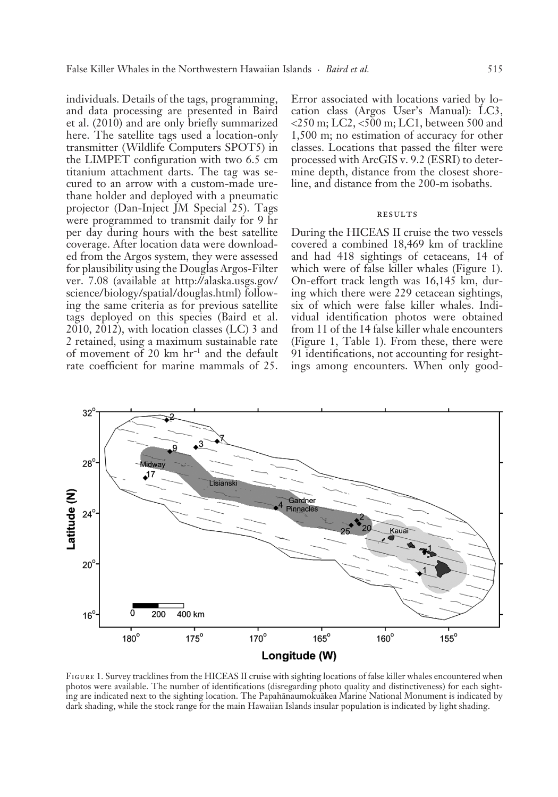individuals. Details of the tags, programming, and data processing are presented in Baird et al. (2010) and are only briefly summarized here. The satellite tags used a location-only transmitter (Wildlife Computers SPOT5) in the LIMPET configuration with two 6.5 cm titanium attachment darts. The tag was secured to an arrow with a custom-made urethane holder and deployed with a pneumatic projector (Dan-Inject JM Special 25). Tags were programmed to transmit daily for 9 hr per day during hours with the best satellite coverage. After location data were downloaded from the Argos system, they were assessed for plausibility using the Douglas Argos-Filter ver. 7.08 (available at http://alaska.usgs.gov/ science/biology/spatial/douglas.html) following the same criteria as for previous satellite tags deployed on this species (Baird et al. 2010, 2012), with location classes (LC) 3 and 2 retained, using a maximum sustainable rate of movement of 20 km hr−1 and the default rate coefficient for marine mammals of 25.

Error associated with locations varied by location class (Argos User's Manual): LC3, <250 m; LC2, <500 m; LC1, between 500 and 1,500 m; no estimation of accuracy for other classes. Locations that passed the filter were processed with ArcGIS v. 9.2 (ESRI) to determine depth, distance from the closest shoreline, and distance from the 200-m isobaths.

#### **RESULTS**

During the HICEAS II cruise the two vessels covered a combined 18,469 km of trackline and had 418 sightings of cetaceans, 14 of which were of false killer whales (Figure 1). On-effort track length was 16,145 km, during which there were 229 cetacean sightings, six of which were false killer whales. Individual identification photos were obtained from 11 of the 14 false killer whale encounters (Figure 1, Table 1). From these, there were 91 identifications, not accounting for resightings among encounters. When only good-



Figure 1. Survey tracklines from the HICEAS II cruise with sighting locations of false killer whales encountered when photos were available. The number of identifications (disregarding photo quality and distinctiveness) for each sighting are indicated next to the sighting location. The Papahänaumokuäkea Marine National Monument is indicated by dark shading, while the stock range for the main Hawaiian Islands insular population is indicated by light shading.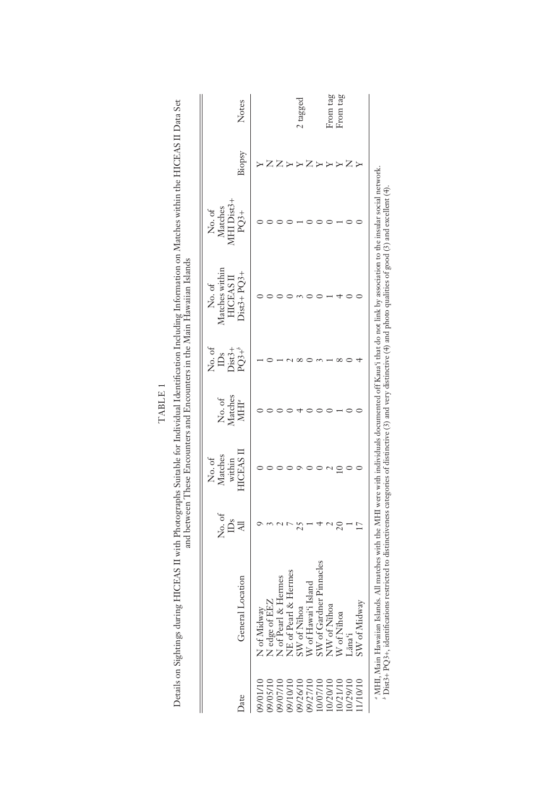|          |                                                                             |        | No. of            |                   | No. of               | No.of                              | No. of                            |        |          |
|----------|-----------------------------------------------------------------------------|--------|-------------------|-------------------|----------------------|------------------------------------|-----------------------------------|--------|----------|
|          |                                                                             | No. of | Matches<br>within | No. of<br>Matches | $Dist3 +$<br>$\Box$  | Matches within<br><b>HICEAS II</b> | MHI Dist <sub>3+</sub><br>Matches |        |          |
| Date     | General Location                                                            | Ďã     | <b>HICEAS II</b>  | MHI <sup>a</sup>  | $PQ3 +$ <sup>b</sup> | $Dist3 + PQ3 +$                    | $PQ3+$                            | Biopsy | Notes    |
| 01/10/60 | N of Midway                                                                 |        |                   |                   |                      |                                    |                                   |        |          |
| 09/05/10 |                                                                             |        |                   |                   |                      |                                    |                                   |        |          |
| 09/07/10 | N edge of EEZ<br>N of Pearl & Hermes                                        |        |                   |                   |                      |                                    |                                   |        |          |
| 09/10/10 |                                                                             |        |                   |                   |                      |                                    |                                   |        |          |
| 09/26/10 | NE of Pearl & Hermes<br>SW of Nihoa                                         |        |                   |                   |                      |                                    |                                   |        | tagged   |
| 09/27/10 |                                                                             |        |                   |                   |                      |                                    |                                   |        |          |
| 10/07/10 | W of Hawai'i Island<br>SW of Gardner Pinnacles<br>NW of Nihoa<br>W of Nihoa |        |                   |                   |                      |                                    |                                   |        |          |
| 10/20/10 |                                                                             |        |                   |                   |                      |                                    |                                   |        | From tag |
| 0/21/10  |                                                                             |        |                   |                   |                      |                                    |                                   |        | From tag |
| 0/29/10  | Lāna'i                                                                      |        |                   |                   |                      |                                    |                                   |        |          |
| 1/10/10  | SW of Midway                                                                |        |                   |                   |                      |                                    |                                   |        |          |

 $\rm TABLE$  1

TABLE 1

Details on Sightings during HICEAS II with Photographs Suitable for Individual Identification Including Information on Matches within the HICEAS II Data Set

Details on Sightings during HICEAS II with Photographs Suitable for Individual Identification Including Information on Matches within the HICEAS II Data Set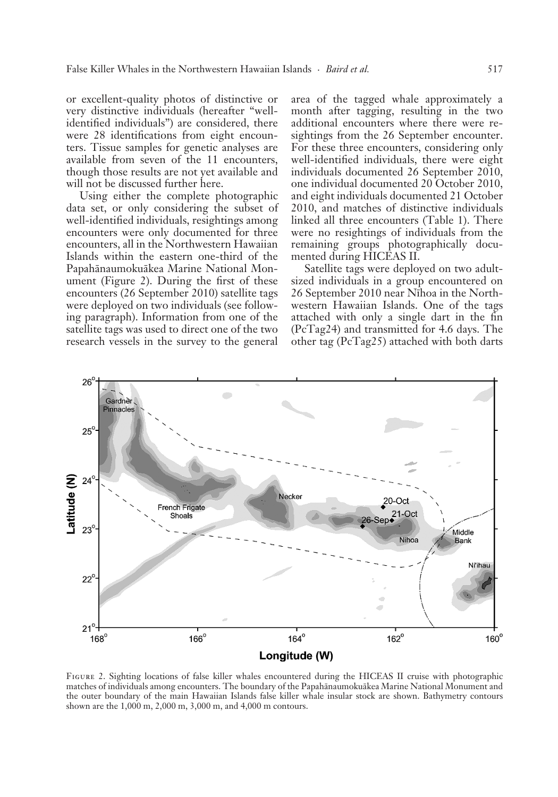or excellent-quality photos of distinctive or very distinctive individuals (hereafter "wellidentified individuals") are considered, there were 28 identifications from eight encounters. Tissue samples for genetic analyses are available from seven of the 11 encounters, though those results are not yet available and will not be discussed further here.

Using either the complete photographic data set, or only considering the subset of well-identified individuals, resightings among encounters were only documented for three encounters, all in the Northwestern Hawaiian Islands within the eastern one-third of the Papahänaumokuäkea Marine National Monument (Figure 2). During the first of these encounters (26 September 2010) satellite tags were deployed on two individuals (see following paragraph). Information from one of the satellite tags was used to direct one of the two research vessels in the survey to the general

area of the tagged whale approximately a month after tagging, resulting in the two additional encounters where there were resightings from the 26 September encounter. For these three encounters, considering only well-identified individuals, there were eight individuals documented 26 September 2010, one individual documented 20 October 2010, and eight individuals documented 21 October 2010, and matches of distinctive individuals linked all three encounters (Table 1). There were no resightings of individuals from the remaining groups photographically documented during HICEAS II.

Satellite tags were deployed on two adultsized individuals in a group encountered on 26 September 2010 near Nïhoa in the Northwestern Hawaiian Islands. One of the tags attached with only a single dart in the fin (PcTag24) and transmitted for 4.6 days. The other tag (PcTag25) attached with both darts



Figure 2. Sighting locations of false killer whales encountered during the HICEAS II cruise with photographic matches of individuals among encounters. The boundary of the Papahänaumokuäkea Marine National Monument and the outer boundary of the main Hawaiian Islands false killer whale insular stock are shown. Bathymetry contours shown are the 1,000 m, 2,000 m, 3,000 m, and 4,000 m contours.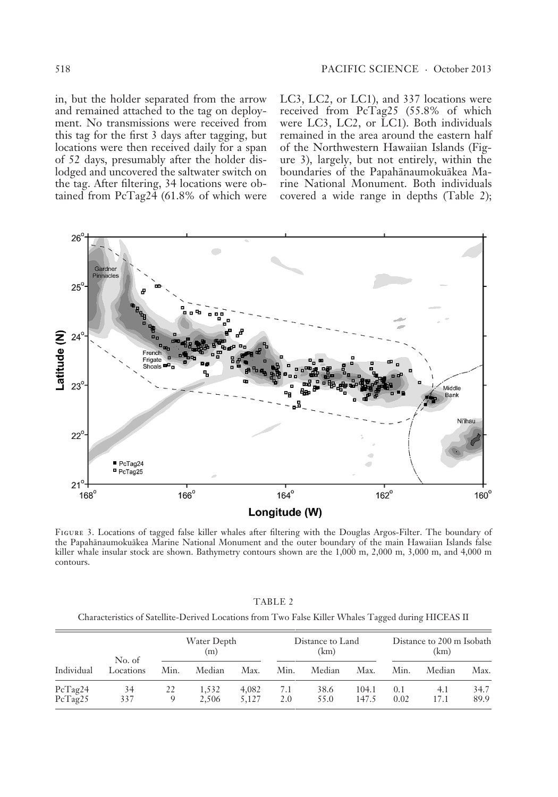in, but the holder separated from the arrow and remained attached to the tag on deployment. No transmissions were received from this tag for the first 3 days after tagging, but locations were then received daily for a span of 52 days, presumably after the holder dislodged and uncovered the saltwater switch on the tag. After filtering, 34 locations were obtained from PcTag24 (61.8% of which were LC3, LC2, or LC1), and 337 locations were received from PcTag25 (55.8% of which were LC3, LC2, or LC1). Both individuals remained in the area around the eastern half of the Northwestern Hawaiian Islands (Figure 3), largely, but not entirely, within the boundaries of the Papahänaumokuäkea Marine National Monument. Both individuals covered a wide range in depths (Table 2);



Figure 3. Locations of tagged false killer whales after filtering with the Douglas Argos-Filter. The boundary of the Papahänaumokuäkea Marine National Monument and the outer boundary of the main Hawaiian Islands false killer whale insular stock are shown. Bathymetry contours shown are the 1,000 m, 2,000 m, 3,000 m, and 4,000 m contours.

TABLE 2

Characteristics of Satellite-Derived Locations from Two False Killer Whales Tagged during HICEAS II

| Individual         | No. of<br>Locations | Water Depth<br>(m) |                |                | Distance to Land<br>(km) |              |                | Distance to 200 m Isobath<br>(km) |             |              |
|--------------------|---------------------|--------------------|----------------|----------------|--------------------------|--------------|----------------|-----------------------------------|-------------|--------------|
|                    |                     | Min.               | Median         | Max.           | Min.                     | Median       | Max.           | Min.                              | Median      | Max.         |
| PcTag24<br>PcTag25 | 34<br>337           | 22<br>9            | 1.532<br>2.506 | 4.082<br>5.127 | 7.1<br>2.0               | 38.6<br>55.0 | 104.1<br>147.5 | 0.1<br>0.02                       | 4.1<br>17.1 | 34.7<br>89.9 |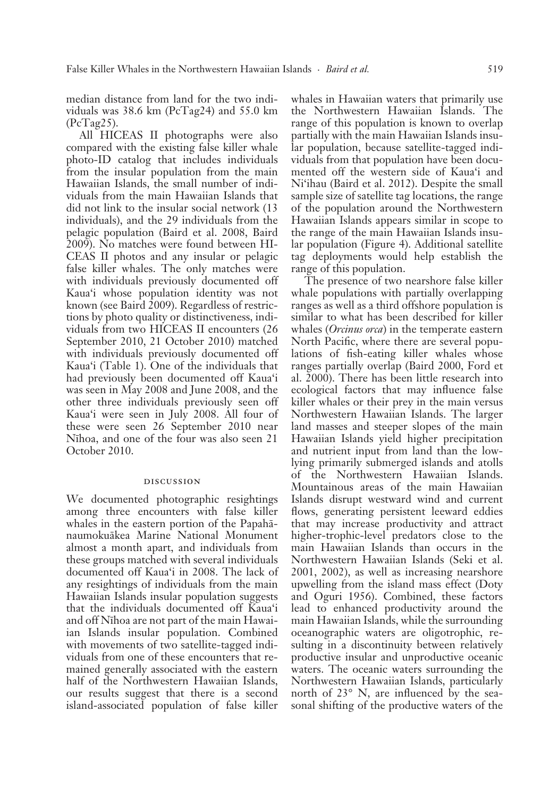median distance from land for the two individuals was 38.6 km (PcTag24) and 55.0 km (PcTag25).

All HICEAS II photographs were also compared with the existing false killer whale photo-ID catalog that includes individuals from the insular population from the main Hawaiian Islands, the small number of individuals from the main Hawaiian Islands that did not link to the insular social network (13 individuals), and the 29 individuals from the pelagic population (Baird et al. 2008, Baird 2009). No matches were found between HI-CEAS II photos and any insular or pelagic false killer whales. The only matches were with individuals previously documented off Kaua'i whose population identity was not known (see Baird 2009). Regardless of restrictions by photo quality or distinctiveness, individuals from two HICEAS II encounters (26 September 2010, 21 October 2010) matched with individuals previously documented off Kaua'i (Table 1). One of the individuals that had previously been documented off Kaua'i was seen in May 2008 and June 2008, and the other three individuals previously seen off Kaua'i were seen in July 2008. All four of these were seen 26 September 2010 near Nïhoa, and one of the four was also seen 21 October 2010.

#### discussion

We documented photographic resightings among three encounters with false killer whales in the eastern portion of the Papahänaumokuäkea Marine National Monument almost a month apart, and individuals from these groups matched with several individuals documented off Kaua'i in 2008. The lack of any resightings of individuals from the main Hawaiian Islands insular population suggests that the individuals documented off Kaua'i and off Nïhoa are not part of the main Hawaiian Islands insular population. Combined with movements of two satellite-tagged individuals from one of these encounters that remained generally associated with the eastern half of the Northwestern Hawaiian Islands, our results suggest that there is a second island-associated population of false killer whales in Hawaiian waters that primarily use the Northwestern Hawaiian Islands. The range of this population is known to overlap partially with the main Hawaiian Islands insular population, because satellite-tagged individuals from that population have been documented off the western side of Kaua'i and Ni'ihau (Baird et al. 2012). Despite the small sample size of satellite tag locations, the range of the population around the Northwestern Hawaiian Islands appears similar in scope to the range of the main Hawaiian Islands insular population (Figure 4). Additional satellite tag deployments would help establish the range of this population.

The presence of two nearshore false killer whale populations with partially overlapping ranges as well as a third offshore population is similar to what has been described for killer whales (*Orcinus orca*) in the temperate eastern North Pacific, where there are several populations of fish-eating killer whales whose ranges partially overlap (Baird 2000, Ford et al. 2000). There has been little research into ecological factors that may influence false killer whales or their prey in the main versus Northwestern Hawaiian Islands. The larger land masses and steeper slopes of the main Hawaiian Islands yield higher precipitation and nutrient input from land than the lowlying primarily submerged islands and atolls of the Northwestern Hawaiian Islands. Mountainous areas of the main Hawaiian Islands disrupt westward wind and current flows, generating persistent leeward eddies that may increase productivity and attract higher-trophic-level predators close to the main Hawaiian Islands than occurs in the Northwestern Hawaiian Islands (Seki et al. 2001, 2002), as well as increasing nearshore upwelling from the island mass effect (Doty and Oguri 1956). Combined, these factors lead to enhanced productivity around the main Hawaiian Islands, while the surrounding oceanographic waters are oligotrophic, resulting in a discontinuity between relatively productive insular and unproductive oceanic waters. The oceanic waters surrounding the Northwestern Hawaiian Islands, particularly north of 23° N, are influenced by the seasonal shifting of the productive waters of the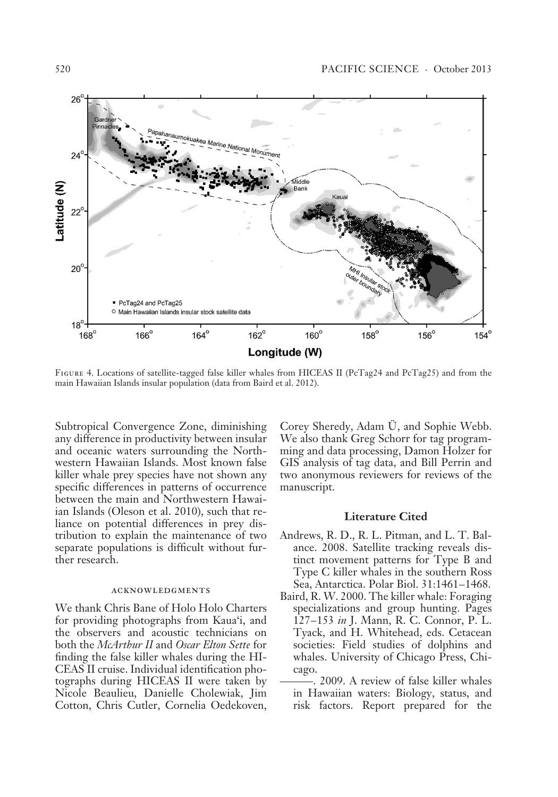

Figure 4. Locations of satellite-tagged false killer whales from HICEAS II (PcTag24 and PcTag25) and from the main Hawaiian Islands insular population (data from Baird et al. 2012).

Subtropical Convergence Zone, diminishing any difference in productivity between insular and oceanic waters surrounding the Northwestern Hawaiian Islands. Most known false killer whale prey species have not shown any specific differences in patterns of occurrence between the main and Northwestern Hawaiian Islands (Oleson et al. 2010), such that reliance on potential differences in prey distribution to explain the maintenance of two separate populations is difficult without further research.

#### acknowledgments

We thank Chris Bane of Holo Holo Charters for providing photographs from Kaua'i, and the observers and acoustic technicians on both the *McArthur II* and *Oscar Elton Sette* for finding the false killer whales during the HI-CEAS II cruise. Individual identification photographs during HICEAS II were taken by Nicole Beaulieu, Danielle Cholewiak, Jim Cotton, Chris Cutler, Cornelia Oedekoven, Corey Sheredy, Adam U, and Sophie Webb. We also thank Greg Schorr for tag programming and data processing, Damon Holzer for GIS analysis of tag data, and Bill Perrin and two anonymous reviewers for reviews of the manuscript.

## **Literature Cited**

- Andrews, R. D., R. L. Pitman, and L. T. Balance. 2008. Satellite tracking reveals distinct movement patterns for Type B and Type C killer whales in the southern Ross Sea, Antarctica. Polar Biol. 31:1461–1468.
- Baird, R. W. 2000. The killer whale: Foraging specializations and group hunting. Pages 127–153 *in* J. Mann, R. C. Connor, P. L. Tyack, and H. Whitehead, eds. Cetacean societies: Field studies of dolphins and whales. University of Chicago Press, Chicago.
- . 2009. A review of false killer whales in Hawaiian waters: Biology, status, and risk factors. Report prepared for the